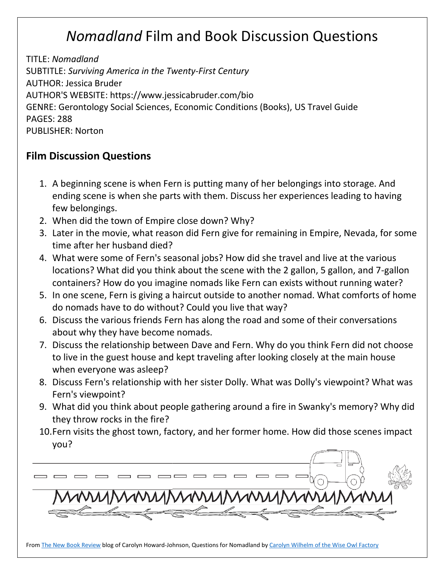## *Nomadland* Film and Book Discussion Questions

TITLE: *Nomadland* SUBTITLE: *Surviving America in the Twenty-First Century* AUTHOR: Jessica Bruder AUTHOR'S WEBSITE: https://www.jessicabruder.com/bio GENRE: Gerontology Social Sciences, Economic Conditions (Books), US Travel Guide PAGES: 288 PUBLISHER: Norton

## **Film Discussion Questions**

- 1. A beginning scene is when Fern is putting many of her belongings into storage. And ending scene is when she parts with them. Discuss her experiences leading to having few belongings.
- 2. When did the town of Empire close down? Why?
- 3. Later in the movie, what reason did Fern give for remaining in Empire, Nevada, for some time after her husband died?
- 4. What were some of Fern's seasonal jobs? How did she travel and live at the various locations? What did you think about the scene with the 2 gallon, 5 gallon, and 7-gallon containers? How do you imagine nomads like Fern can exists without running water?
- 5. In one scene, Fern is giving a haircut outside to another nomad. What comforts of home do nomads have to do without? Could you live that way?
- 6. Discuss the various friends Fern has along the road and some of their conversations about why they have become nomads.
- 7. Discuss the relationship between Dave and Fern. Why do you think Fern did not choose to live in the guest house and kept traveling after looking closely at the main house when everyone was asleep?
- 8. Discuss Fern's relationship with her sister Dolly. What was Dolly's viewpoint? What was Fern's viewpoint?
- 9. What did you think about people gathering around a fire in Swanky's memory? Why did they throw rocks in the fire?
- 10.Fern visits the ghost town, factory, and her former home. How did those scenes impact you?